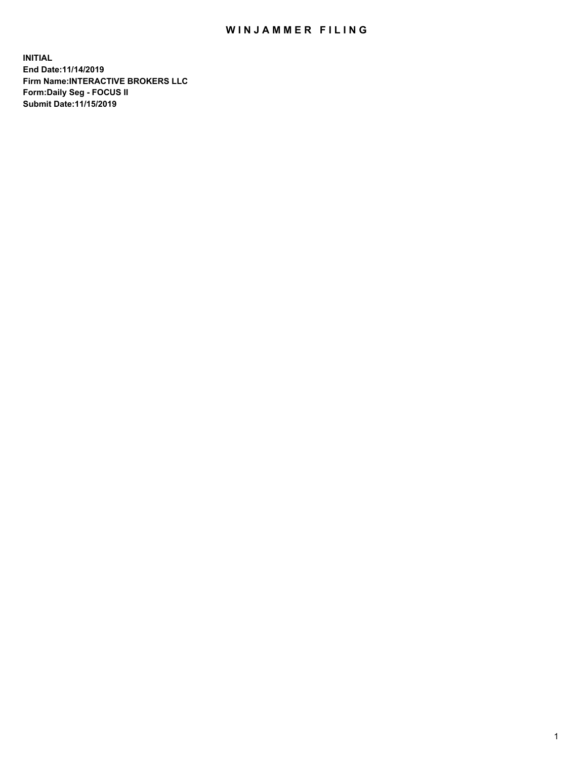## WIN JAMMER FILING

**INITIAL End Date:11/14/2019 Firm Name:INTERACTIVE BROKERS LLC Form:Daily Seg - FOCUS II Submit Date:11/15/2019**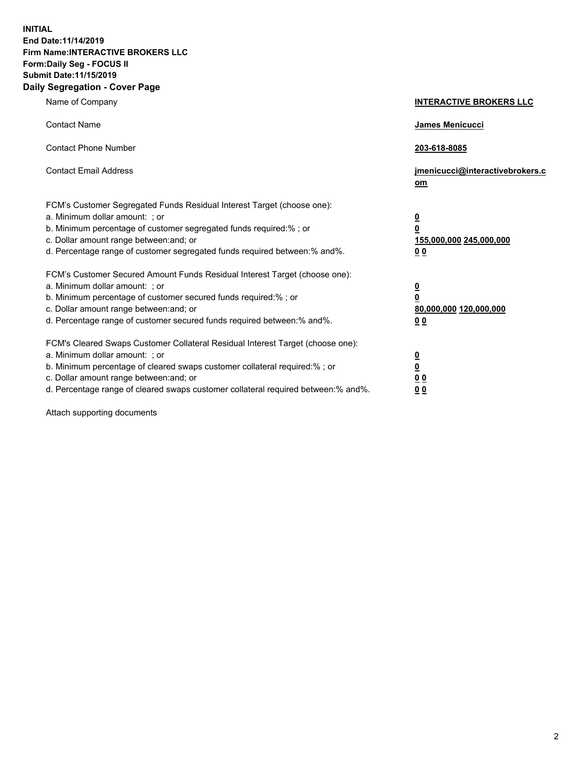**INITIAL End Date:11/14/2019 Firm Name:INTERACTIVE BROKERS LLC Form:Daily Seg - FOCUS II Submit Date:11/15/2019 Daily Segregation - Cover Page**

| Name of Company                                                                                                                                                                                                                                                                                                                | <b>INTERACTIVE BROKERS LLC</b>                                                                  |
|--------------------------------------------------------------------------------------------------------------------------------------------------------------------------------------------------------------------------------------------------------------------------------------------------------------------------------|-------------------------------------------------------------------------------------------------|
| <b>Contact Name</b>                                                                                                                                                                                                                                                                                                            | James Menicucci                                                                                 |
| <b>Contact Phone Number</b>                                                                                                                                                                                                                                                                                                    | 203-618-8085                                                                                    |
| <b>Contact Email Address</b>                                                                                                                                                                                                                                                                                                   | jmenicucci@interactivebrokers.c<br>om                                                           |
| FCM's Customer Segregated Funds Residual Interest Target (choose one):<br>a. Minimum dollar amount: ; or<br>b. Minimum percentage of customer segregated funds required:% ; or<br>c. Dollar amount range between: and; or<br>d. Percentage range of customer segregated funds required between:% and%.                         | $\overline{\mathbf{0}}$<br>$\overline{\mathbf{0}}$<br>155,000,000 245,000,000<br>0 <sub>0</sub> |
| FCM's Customer Secured Amount Funds Residual Interest Target (choose one):<br>a. Minimum dollar amount: ; or<br>b. Minimum percentage of customer secured funds required:%; or<br>c. Dollar amount range between: and; or<br>d. Percentage range of customer secured funds required between:% and%.                            | $\overline{\mathbf{0}}$<br>$\overline{\mathbf{0}}$<br>80,000,000 120,000,000<br>0 <sub>0</sub>  |
| FCM's Cleared Swaps Customer Collateral Residual Interest Target (choose one):<br>a. Minimum dollar amount: ; or<br>b. Minimum percentage of cleared swaps customer collateral required:% ; or<br>c. Dollar amount range between: and; or<br>d. Percentage range of cleared swaps customer collateral required between:% and%. | $\overline{\mathbf{0}}$<br>$\underline{\mathbf{0}}$<br>0 <sub>0</sub><br>0 <sub>0</sub>         |

Attach supporting documents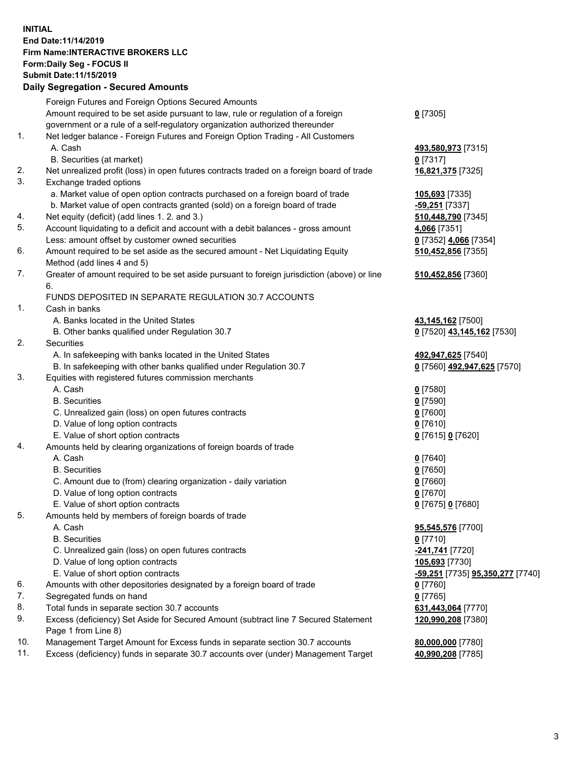## **INITIAL End Date:11/14/2019 Firm Name:INTERACTIVE BROKERS LLC Form:Daily Seg - FOCUS II Submit Date:11/15/2019 Daily Segregation - Secured Amounts**

|     | Daily Segregation - Secured Alliounts                                                       |                                                |
|-----|---------------------------------------------------------------------------------------------|------------------------------------------------|
|     | Foreign Futures and Foreign Options Secured Amounts                                         |                                                |
|     | Amount required to be set aside pursuant to law, rule or regulation of a foreign            | $0$ [7305]                                     |
|     | government or a rule of a self-regulatory organization authorized thereunder                |                                                |
| 1.  | Net ledger balance - Foreign Futures and Foreign Option Trading - All Customers             |                                                |
|     | A. Cash                                                                                     | 493,580,973 [7315]                             |
|     | B. Securities (at market)                                                                   | $0$ [7317]                                     |
| 2.  | Net unrealized profit (loss) in open futures contracts traded on a foreign board of trade   | 16,821,375 [7325]                              |
| 3.  | Exchange traded options                                                                     |                                                |
|     | a. Market value of open option contracts purchased on a foreign board of trade              | 105,693 [7335]                                 |
|     | b. Market value of open contracts granted (sold) on a foreign board of trade                | $-59,251$ [7337]                               |
| 4.  | Net equity (deficit) (add lines 1. 2. and 3.)                                               | 510,448,790 [7345]                             |
| 5.  | Account liquidating to a deficit and account with a debit balances - gross amount           | 4,066 [7351]                                   |
|     | Less: amount offset by customer owned securities                                            | 0 [7352] 4,066 [7354]                          |
| 6.  | Amount required to be set aside as the secured amount - Net Liquidating Equity              | 510,452,856 [7355]                             |
|     | Method (add lines 4 and 5)                                                                  |                                                |
| 7.  | Greater of amount required to be set aside pursuant to foreign jurisdiction (above) or line | 510,452,856 [7360]                             |
|     | 6.                                                                                          |                                                |
|     | FUNDS DEPOSITED IN SEPARATE REGULATION 30.7 ACCOUNTS                                        |                                                |
| 1.  | Cash in banks                                                                               |                                                |
|     | A. Banks located in the United States                                                       | 43,145,162 <sub>[7500]</sub>                   |
|     | B. Other banks qualified under Regulation 30.7                                              | 0 [7520] 43,145,162 [7530]                     |
| 2.  | Securities                                                                                  |                                                |
|     | A. In safekeeping with banks located in the United States                                   | 492,947,625 [7540]                             |
|     | B. In safekeeping with other banks qualified under Regulation 30.7                          | 0 [7560] 492,947,625 [7570]                    |
| 3.  | Equities with registered futures commission merchants                                       |                                                |
|     | A. Cash                                                                                     | $0$ [7580]                                     |
|     | <b>B.</b> Securities                                                                        | $0$ [7590]                                     |
|     | C. Unrealized gain (loss) on open futures contracts                                         | $0$ [7600]                                     |
|     | D. Value of long option contracts                                                           | $0$ [7610]                                     |
|     | E. Value of short option contracts                                                          | 0 [7615] 0 [7620]                              |
| 4.  | Amounts held by clearing organizations of foreign boards of trade                           |                                                |
|     | A. Cash                                                                                     | $0$ [7640]                                     |
|     | <b>B.</b> Securities                                                                        | $0$ [7650]                                     |
|     | C. Amount due to (from) clearing organization - daily variation                             | $0$ [7660]                                     |
|     | D. Value of long option contracts                                                           | $0$ [7670]                                     |
|     | E. Value of short option contracts                                                          | 0 [7675] 0 [7680]                              |
| 5.  | Amounts held by members of foreign boards of trade                                          |                                                |
|     | A. Cash                                                                                     | 95,545,576 [7700]                              |
|     | <b>B.</b> Securities                                                                        | $0$ [7710]                                     |
|     | C. Unrealized gain (loss) on open futures contracts<br>D. Value of long option contracts    | -241,741 [7720]                                |
|     | E. Value of short option contracts                                                          | 105,693 [7730]                                 |
| 6.  | Amounts with other depositories designated by a foreign board of trade                      | <u>-59,251</u> [7735] <u>95,350,277</u> [7740] |
| 7.  | Segregated funds on hand                                                                    | 0 [7760]<br>$0$ [7765]                         |
| 8.  | Total funds in separate section 30.7 accounts                                               | 631,443,064 [7770]                             |
| 9.  | Excess (deficiency) Set Aside for Secured Amount (subtract line 7 Secured Statement         | 120,990,208 [7380]                             |
|     | Page 1 from Line 8)                                                                         |                                                |
| 10. | Management Target Amount for Excess funds in separate section 30.7 accounts                 | 80,000,000 [7780]                              |
| 11. | Excess (deficiency) funds in separate 30.7 accounts over (under) Management Target          | 40,990,208 [7785]                              |
|     |                                                                                             |                                                |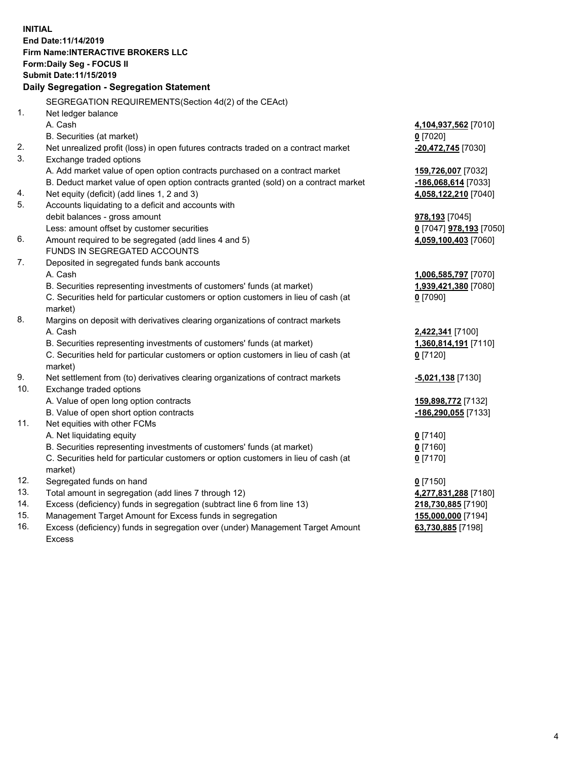**INITIAL End Date:11/14/2019 Firm Name:INTERACTIVE BROKERS LLC Form:Daily Seg - FOCUS II Submit Date:11/15/2019 Daily Segregation - Segregation Statement** SEGREGATION REQUIREMENTS(Section 4d(2) of the CEAct) 1. Net ledger balance A. Cash **4,104,937,562** [7010] B. Securities (at market) **0** [7020] 2. Net unrealized profit (loss) in open futures contracts traded on a contract market **-20,472,745** [7030] 3. Exchange traded options A. Add market value of open option contracts purchased on a contract market **159,726,007** [7032] B. Deduct market value of open option contracts granted (sold) on a contract market **-186,068,614** [7033] 4. Net equity (deficit) (add lines 1, 2 and 3) **4,058,122,210** [7040] 5. Accounts liquidating to a deficit and accounts with debit balances - gross amount **978,193** [7045] Less: amount offset by customer securities **0** [7047] **978,193** [7050] 6. Amount required to be segregated (add lines 4 and 5) **4,059,100,403** [7060] FUNDS IN SEGREGATED ACCOUNTS 7. Deposited in segregated funds bank accounts A. Cash **1,006,585,797** [7070] B. Securities representing investments of customers' funds (at market) **1,939,421,380** [7080] C. Securities held for particular customers or option customers in lieu of cash (at market) **0** [7090] 8. Margins on deposit with derivatives clearing organizations of contract markets A. Cash **2,422,341** [7100] B. Securities representing investments of customers' funds (at market) **1,360,814,191** [7110] C. Securities held for particular customers or option customers in lieu of cash (at market) **0** [7120] 9. Net settlement from (to) derivatives clearing organizations of contract markets **-5,021,138** [7130] 10. Exchange traded options A. Value of open long option contracts **159,898,772** [7132] B. Value of open short option contracts **-186,290,055** [7133] 11. Net equities with other FCMs A. Net liquidating equity **0** [7140] B. Securities representing investments of customers' funds (at market) **0** [7160] C. Securities held for particular customers or option customers in lieu of cash (at market) **0** [7170] 12. Segregated funds on hand **0** [7150] 13. Total amount in segregation (add lines 7 through 12) **4,277,831,288** [7180] 14. Excess (deficiency) funds in segregation (subtract line 6 from line 13) **218,730,885** [7190] 15. Management Target Amount for Excess funds in segregation **155,000,000** [7194] **63,730,885** [7198]

16. Excess (deficiency) funds in segregation over (under) Management Target Amount Excess